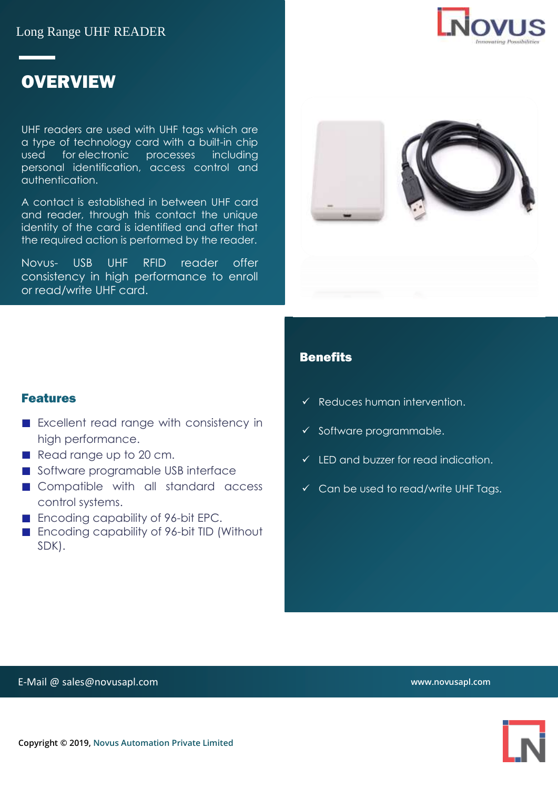Long Range UHF READER



# **OVERVIEW**

UHF readers are used with UHF tags which are a type of technology card with a built-in chip used for electronic processes including personal identification, access control and authentication.

A contact is established in between UHF card and reader, through this contact the unique identity of the card is identified and after that the required action is performed by the reader.

Novus- USB UHF RFID reader offer consistency in high performance to enroll or read/write UHF card.



#### **Benefits**

- Reduces human intervention.
- ✓ Software programmable.
- $\checkmark$  LED and buzzer for read indication.
- ✓ Can be used to read/write UHF Tags.

#### Features

- **EXCELLENT read range with consistency in** high performance.
- Read range up to 20 cm.
- Software programable USB interface
- Compatible with all standard access control systems.
- Encoding capability of 96-bit EPC.
- **Encoding capability of 96-bit TID (Without** SDK).

**www.novusapl.com**

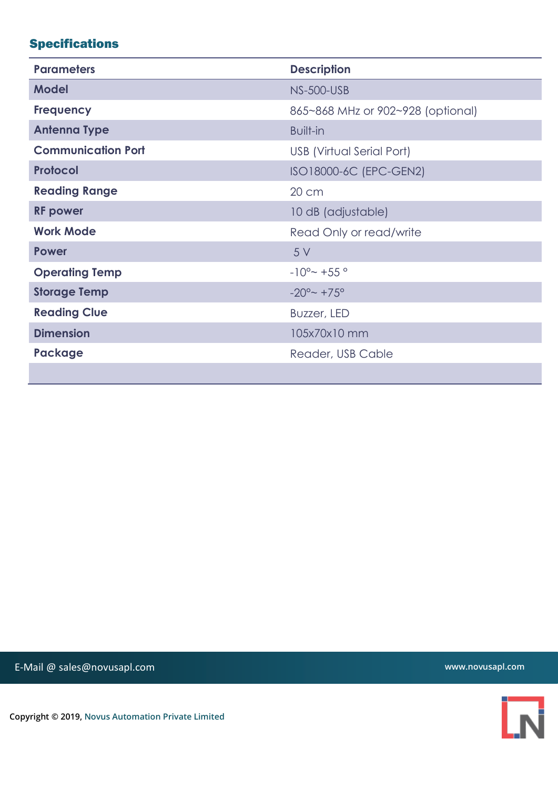## Specifications

| <b>Parameters</b>         | <b>Description</b>                |
|---------------------------|-----------------------------------|
| <b>Model</b>              | <b>NS-500-USB</b>                 |
| <b>Frequency</b>          | 865~868 MHz or 902~928 (optional) |
| <b>Antenna Type</b>       | <b>Built-in</b>                   |
| <b>Communication Port</b> | USB (Virtual Serial Port)         |
| <b>Protocol</b>           | ISO18000-6C (EPC-GEN2)            |
| <b>Reading Range</b>      | 20 cm                             |
| <b>RF</b> power           | 10 dB (adjustable)                |
| <b>Work Mode</b>          | Read Only or read/write           |
| <b>Power</b>              | 5 V                               |
| <b>Operating Temp</b>     | $-10^{\circ}$ $- +55^{\circ}$     |
| <b>Storage Temp</b>       | $-20^{\circ}$ +75°                |
| <b>Reading Clue</b>       | Buzzer, LED                       |
| <b>Dimension</b>          | 105x70x10 mm                      |
| Package                   | Reader, USB Cable                 |
|                           |                                   |